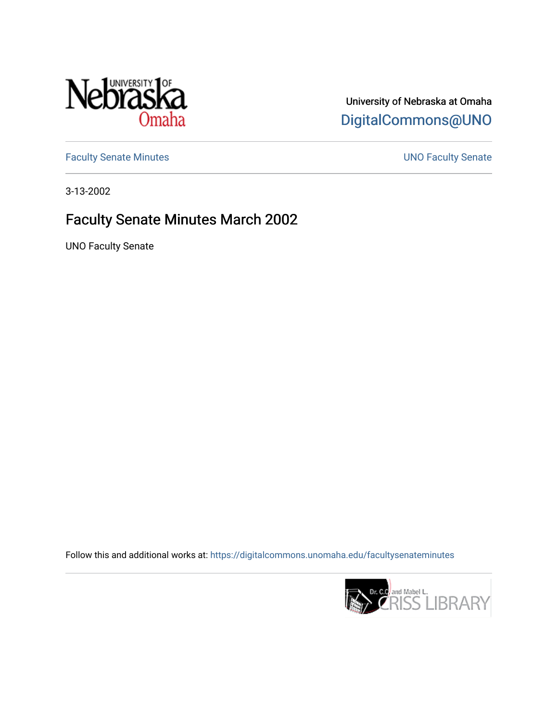

## University of Nebraska at Omaha [DigitalCommons@UNO](https://digitalcommons.unomaha.edu/)

[Faculty Senate Minutes](https://digitalcommons.unomaha.edu/facultysenateminutes) **Exercise Senate UNO Faculty Senate** 

3-13-2002

## Faculty Senate Minutes March 2002

UNO Faculty Senate

Follow this and additional works at: [https://digitalcommons.unomaha.edu/facultysenateminutes](https://digitalcommons.unomaha.edu/facultysenateminutes?utm_source=digitalcommons.unomaha.edu%2Ffacultysenateminutes%2F88&utm_medium=PDF&utm_campaign=PDFCoverPages) 

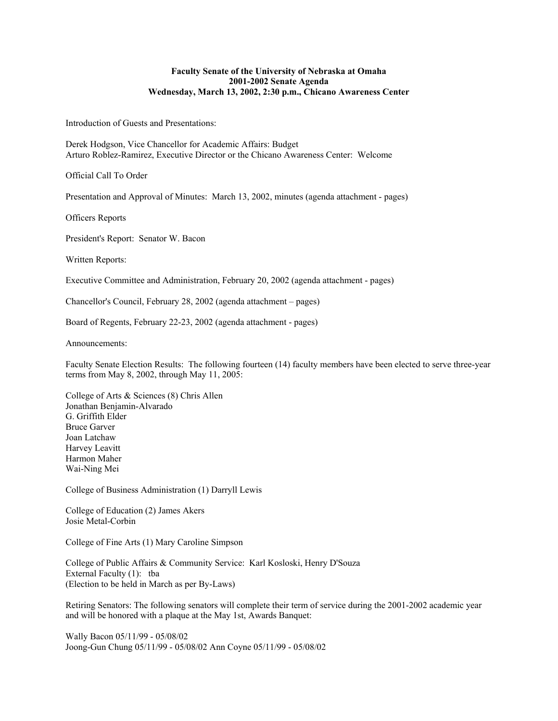## **Faculty Senate of the University of Nebraska at Omaha 2001-2002 Senate Agenda Wednesday, March 13, 2002, 2:30 p.m., Chicano Awareness Center**

Introduction of Guests and Presentations:

Derek Hodgson, Vice Chancellor for Academic Affairs: Budget Arturo Roblez-Ramirez, Executive Director or the Chicano Awareness Center: Welcome

Official Call To Order

Presentation and Approval of Minutes: March 13, 2002, minutes (agenda attachment - pages)

Officers Reports

President's Report: Senator W. Bacon

Written Reports:

Executive Committee and Administration, February 20, 2002 (agenda attachment - pages)

Chancellor's Council, February 28, 2002 (agenda attachment – pages)

Board of Regents, February 22-23, 2002 (agenda attachment - pages)

Announcements:

Faculty Senate Election Results: The following fourteen (14) faculty members have been elected to serve three-year terms from May 8, 2002, through May 11, 2005:

College of Arts & Sciences (8) Chris Allen Jonathan Benjamin-Alvarado G. Griffith Elder Bruce Garver Joan Latchaw Harvey Leavitt Harmon Maher Wai-Ning Mei

College of Business Administration (1) Darryll Lewis

College of Education (2) James Akers Josie Metal-Corbin

College of Fine Arts (1) Mary Caroline Simpson

College of Public Affairs & Community Service: Karl Kosloski, Henry D'Souza External Faculty (1): tba (Election to be held in March as per By-Laws)

Retiring Senators: The following senators will complete their term of service during the 2001-2002 academic year and will be honored with a plaque at the May 1st, Awards Banquet:

Wally Bacon 05/11/99 - 05/08/02 Joong-Gun Chung 05/11/99 - 05/08/02 Ann Coyne 05/11/99 - 05/08/02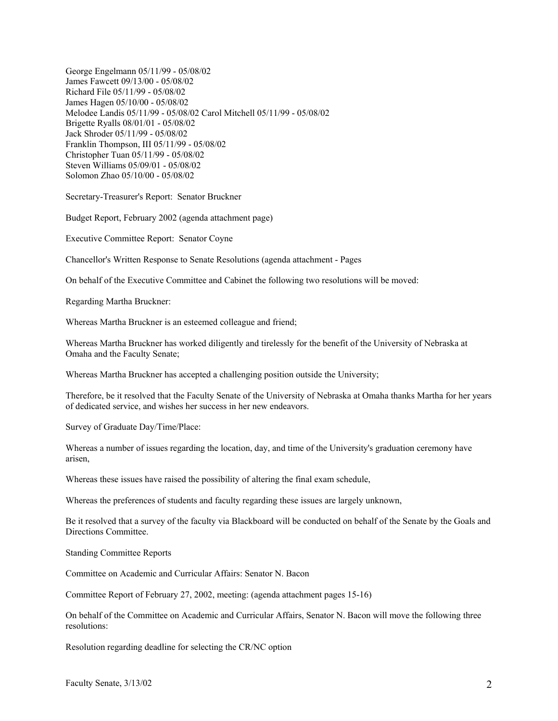George Engelmann 05/11/99 - 05/08/02 James Fawcett 09/13/00 - 05/08/02 Richard File 05/11/99 - 05/08/02 James Hagen 05/10/00 - 05/08/02 Melodee Landis 05/11/99 - 05/08/02 Carol Mitchell 05/11/99 - 05/08/02 Brigette Ryalls 08/01/01 - 05/08/02 Jack Shroder 05/11/99 - 05/08/02 Franklin Thompson, III 05/11/99 - 05/08/02 Christopher Tuan 05/11/99 - 05/08/02 Steven Williams 05/09/01 - 05/08/02 Solomon Zhao 05/10/00 - 05/08/02

Secretary-Treasurer's Report: Senator Bruckner

Budget Report, February 2002 (agenda attachment page)

Executive Committee Report: Senator Coyne

Chancellor's Written Response to Senate Resolutions (agenda attachment - Pages

On behalf of the Executive Committee and Cabinet the following two resolutions will be moved:

Regarding Martha Bruckner:

Whereas Martha Bruckner is an esteemed colleague and friend;

Whereas Martha Bruckner has worked diligently and tirelessly for the benefit of the University of Nebraska at Omaha and the Faculty Senate;

Whereas Martha Bruckner has accepted a challenging position outside the University;

Therefore, be it resolved that the Faculty Senate of the University of Nebraska at Omaha thanks Martha for her years of dedicated service, and wishes her success in her new endeavors.

Survey of Graduate Day/Time/Place:

Whereas a number of issues regarding the location, day, and time of the University's graduation ceremony have arisen,

Whereas these issues have raised the possibility of altering the final exam schedule,

Whereas the preferences of students and faculty regarding these issues are largely unknown,

Be it resolved that a survey of the faculty via Blackboard will be conducted on behalf of the Senate by the Goals and Directions Committee.

Standing Committee Reports

Committee on Academic and Curricular Affairs: Senator N. Bacon

Committee Report of February 27, 2002, meeting: (agenda attachment pages 15-16)

On behalf of the Committee on Academic and Curricular Affairs, Senator N. Bacon will move the following three resolutions:

Resolution regarding deadline for selecting the CR/NC option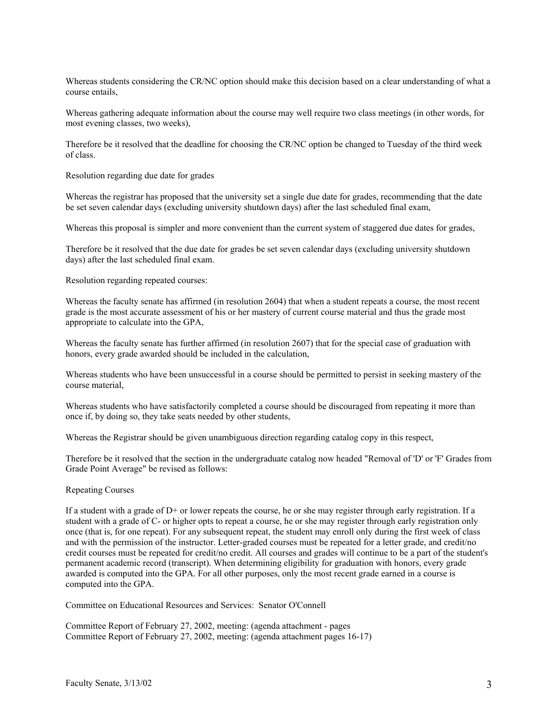Whereas students considering the CR/NC option should make this decision based on a clear understanding of what a course entails,

Whereas gathering adequate information about the course may well require two class meetings (in other words, for most evening classes, two weeks),

Therefore be it resolved that the deadline for choosing the CR/NC option be changed to Tuesday of the third week of class.

Resolution regarding due date for grades

Whereas the registrar has proposed that the university set a single due date for grades, recommending that the date be set seven calendar days (excluding university shutdown days) after the last scheduled final exam,

Whereas this proposal is simpler and more convenient than the current system of staggered due dates for grades,

Therefore be it resolved that the due date for grades be set seven calendar days (excluding university shutdown days) after the last scheduled final exam.

Resolution regarding repeated courses:

Whereas the faculty senate has affirmed (in resolution 2604) that when a student repeats a course, the most recent grade is the most accurate assessment of his or her mastery of current course material and thus the grade most appropriate to calculate into the GPA,

Whereas the faculty senate has further affirmed (in resolution 2607) that for the special case of graduation with honors, every grade awarded should be included in the calculation,

Whereas students who have been unsuccessful in a course should be permitted to persist in seeking mastery of the course material,

Whereas students who have satisfactorily completed a course should be discouraged from repeating it more than once if, by doing so, they take seats needed by other students,

Whereas the Registrar should be given unambiguous direction regarding catalog copy in this respect,

Therefore be it resolved that the section in the undergraduate catalog now headed "Removal of 'D' or 'F' Grades from Grade Point Average" be revised as follows:

## Repeating Courses

If a student with a grade of D+ or lower repeats the course, he or she may register through early registration. If a student with a grade of C- or higher opts to repeat a course, he or she may register through early registration only once (that is, for one repeat). For any subsequent repeat, the student may enroll only during the first week of class and with the permission of the instructor. Letter-graded courses must be repeated for a letter grade, and credit/no credit courses must be repeated for credit/no credit. All courses and grades will continue to be a part of the student's permanent academic record (transcript). When determining eligibility for graduation with honors, every grade awarded is computed into the GPA. For all other purposes, only the most recent grade earned in a course is computed into the GPA.

Committee on Educational Resources and Services: Senator O'Connell

Committee Report of February 27, 2002, meeting: (agenda attachment - pages Committee Report of February 27, 2002, meeting: (agenda attachment pages 16-17)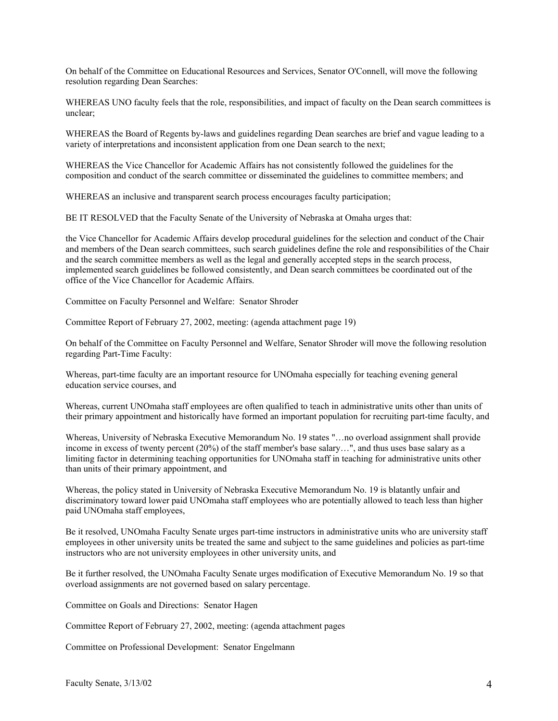On behalf of the Committee on Educational Resources and Services, Senator O'Connell, will move the following resolution regarding Dean Searches:

WHEREAS UNO faculty feels that the role, responsibilities, and impact of faculty on the Dean search committees is unclear;

WHEREAS the Board of Regents by-laws and guidelines regarding Dean searches are brief and vague leading to a variety of interpretations and inconsistent application from one Dean search to the next;

WHEREAS the Vice Chancellor for Academic Affairs has not consistently followed the guidelines for the composition and conduct of the search committee or disseminated the guidelines to committee members; and

WHEREAS an inclusive and transparent search process encourages faculty participation;

BE IT RESOLVED that the Faculty Senate of the University of Nebraska at Omaha urges that:

the Vice Chancellor for Academic Affairs develop procedural guidelines for the selection and conduct of the Chair and members of the Dean search committees, such search guidelines define the role and responsibilities of the Chair and the search committee members as well as the legal and generally accepted steps in the search process, implemented search guidelines be followed consistently, and Dean search committees be coordinated out of the office of the Vice Chancellor for Academic Affairs.

Committee on Faculty Personnel and Welfare: Senator Shroder

Committee Report of February 27, 2002, meeting: (agenda attachment page 19)

On behalf of the Committee on Faculty Personnel and Welfare, Senator Shroder will move the following resolution regarding Part-Time Faculty:

Whereas, part-time faculty are an important resource for UNOmaha especially for teaching evening general education service courses, and

Whereas, current UNOmaha staff employees are often qualified to teach in administrative units other than units of their primary appointment and historically have formed an important population for recruiting part-time faculty, and

Whereas, University of Nebraska Executive Memorandum No. 19 states "…no overload assignment shall provide income in excess of twenty percent (20%) of the staff member's base salary…", and thus uses base salary as a limiting factor in determining teaching opportunities for UNOmaha staff in teaching for administrative units other than units of their primary appointment, and

Whereas, the policy stated in University of Nebraska Executive Memorandum No. 19 is blatantly unfair and discriminatory toward lower paid UNOmaha staff employees who are potentially allowed to teach less than higher paid UNOmaha staff employees,

Be it resolved, UNOmaha Faculty Senate urges part-time instructors in administrative units who are university staff employees in other university units be treated the same and subject to the same guidelines and policies as part-time instructors who are not university employees in other university units, and

Be it further resolved, the UNOmaha Faculty Senate urges modification of Executive Memorandum No. 19 so that overload assignments are not governed based on salary percentage.

Committee on Goals and Directions: Senator Hagen

Committee Report of February 27, 2002, meeting: (agenda attachment pages

Committee on Professional Development: Senator Engelmann